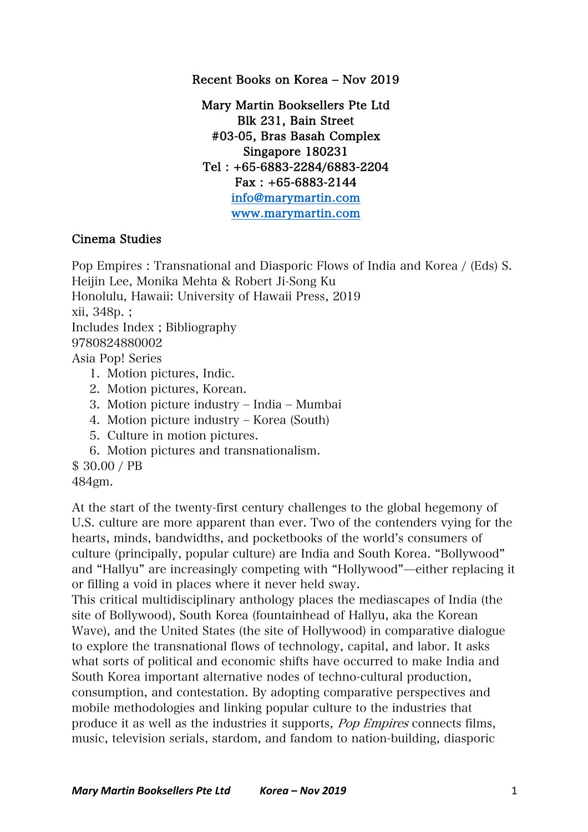Recent Books on Korea - Nov 2019

Mary Martin Booksellers Pte Ltd Blk 231, Bain Street #03-05, Bras Basah Complex Singapore 180231 Tel : +65-6883-2284/6883-2204 Fax : +65-6883-2144 info@marymartin.com www.marymartin.com

## Cinema Studies

Pop Empires : Transnational and Diasporic Flows of India and Korea / (Eds) S. Heijin Lee, Monika Mehta & Robert Ji-Song Ku Honolulu, Hawaii: University of Hawaii Press, 2019 xii, 348p. ; Includes Index ; Bibliography 9780824880002 Asia Pop! Series 1. Motion pictures, Indic. 2. Motion pictures, Korean. 3. Motion picture industry – India – Mumbai 4. Motion picture industry ‒ Korea (South)

- 5. Culture in motion pictures.
- 6. Motion pictures and transnationalism.

\$ 30.00 / PB

484gm.

At the start of the twenty-first century challenges to the global hegemony of U.S. culture are more apparent than ever. Two of the contenders vying for the hearts, minds, bandwidths, and pocketbooks of the world's consumers of culture (principally, popular culture) are India and South Korea. "Bollywood" and "Hallyu" are increasingly competing with "Hollywood"̶either replacing it or filling a void in places where it never held sway.

This critical multidisciplinary anthology places the mediascapes of India (the site of Bollywood), South Korea (fountainhead of Hallyu, aka the Korean Wave), and the United States (the site of Hollywood) in comparative dialogue to explore the transnational flows of technology, capital, and labor. It asks what sorts of political and economic shifts have occurred to make India and South Korea important alternative nodes of techno-cultural production, consumption, and contestation. By adopting comparative perspectives and mobile methodologies and linking popular culture to the industries that produce it as well as the industries it supports, Pop Empires connects films, music, television serials, stardom, and fandom to nation-building, diasporic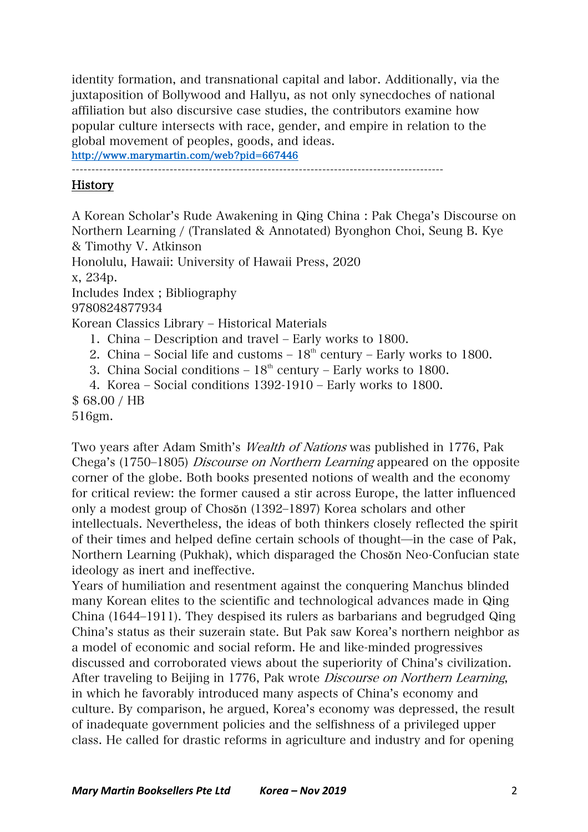identity formation, and transnational capital and labor. Additionally, via the juxtaposition of Bollywood and Hallyu, as not only synecdoches of national affiliation but also discursive case studies, the contributors examine how popular culture intersects with race, gender, and empire in relation to the global movement of peoples, goods, and ideas.

http://www.marymartin.com/web?pid=667446

-----------------------------------------------------------------------------------------------

## History

A Korean Scholar's Rude Awakening in Qing China : Pak Chega's Discourse on Northern Learning / (Translated & Annotated) Byonghon Choi, Seung B. Kye & Timothy V. Atkinson Honolulu, Hawaii: University of Hawaii Press, 2020 x, 234p. Includes Index ; Bibliography 9780824877934 Korean Classics Library – Historical Materials 1. China – Description and travel – Early works to 1800. 2. China – Social life and customs –  $18<sup>th</sup>$  century – Early works to 1800. 3. China Social conditions  $-18<sup>th</sup>$  century  $-$  Early works to 1800. 4. Korea – Social conditions  $1392-1910$  – Early works to  $1800$ .

\$ 68.00 / HB

516gm.

Two years after Adam Smith's Wealth of Nations was published in 1776, Pak Chega's (1750–1805) *Discourse on Northern Learning* appeared on the opposite corner of the globe. Both books presented notions of wealth and the economy for critical review: the former caused a stir across Europe, the latter influenced only a modest group of Chosŏn (1392‒1897) Korea scholars and other intellectuals. Nevertheless, the ideas of both thinkers closely reflected the spirit of their times and helped define certain schools of thought̶in the case of Pak, Northern Learning (Pukhak), which disparaged the Chosŏn Neo-Confucian state ideology as inert and ineffective.

Years of humiliation and resentment against the conquering Manchus blinded many Korean elites to the scientific and technological advances made in Qing China (1644‒1911). They despised its rulers as barbarians and begrudged Qing China's status as their suzerain state. But Pak saw Korea's northern neighbor as a model of economic and social reform. He and like-minded progressives discussed and corroborated views about the superiority of China's civilization. After traveling to Beijing in 1776, Pak wrote Discourse on Northern Learning, in which he favorably introduced many aspects of China's economy and culture. By comparison, he argued, Korea's economy was depressed, the result of inadequate government policies and the selfishness of a privileged upper class. He called for drastic reforms in agriculture and industry and for opening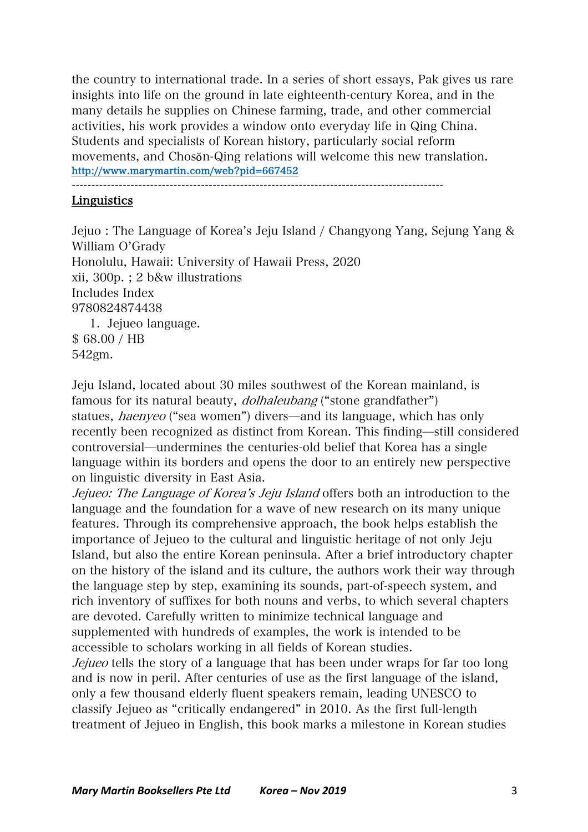the country to international trade. In a series of short essays, Pak gives us rare insights into life on the ground in late eighteenth-century Korea, and in the many details he supplies on Chinese farming, trade, and other commercial activities, his work provides a window onto everyday life in Qing China. Students and specialists of Korean history, particularly social reform movements, and Chosŏn-Qing relations will welcome this new translation. http://www.marymartin.com/web?pid=667452

-----------------------------------------------------------------------------------------------

## Linguistics

Jejuo : The Language of Korea's Jeju Island / Changyong Yang, Sejung Yang & William O'Grady Honolulu, Hawaii: University of Hawaii Press, 2020 xii, 300p. ; 2 b&w illustrations Includes Index 9780824874438 1. Jejueo language. \$ 68.00 / HB 542gm.

Jeju Island, located about 30 miles southwest of the Korean mainland, is famous for its natural beauty, dolhaleubang ("stone grandfather") statues, *haenyeo* ("sea women") divers—and its language, which has only recently been recognized as distinct from Korean. This finding—still considered controversial̶undermines the centuries-old belief that Korea has a single language within its borders and opens the door to an entirely new perspective on linguistic diversity in East Asia.

Jejueo: The Language of Korea's Jeju Island offers both an introduction to the language and the foundation for a wave of new research on its many unique features. Through its comprehensive approach, the book helps establish the importance of Jejueo to the cultural and linguistic heritage of not only Jeju Island, but also the entire Korean peninsula. After a brief introductory chapter on the history of the island and its culture, the authors work their way through the language step by step, examining its sounds, part-of-speech system, and rich inventory of suffixes for both nouns and verbs, to which several chapters are devoted. Carefully written to minimize technical language and supplemented with hundreds of examples, the work is intended to be accessible to scholars working in all fields of Korean studies.

Jejueo tells the story of a language that has been under wraps for far too long and is now in peril. After centuries of use as the first language of the island, only a few thousand elderly fluent speakers remain, leading UNESCO to classify Jejueo as "critically endangered" in 2010. As the first full-length treatment of Jejueo in English, this book marks a milestone in Korean studies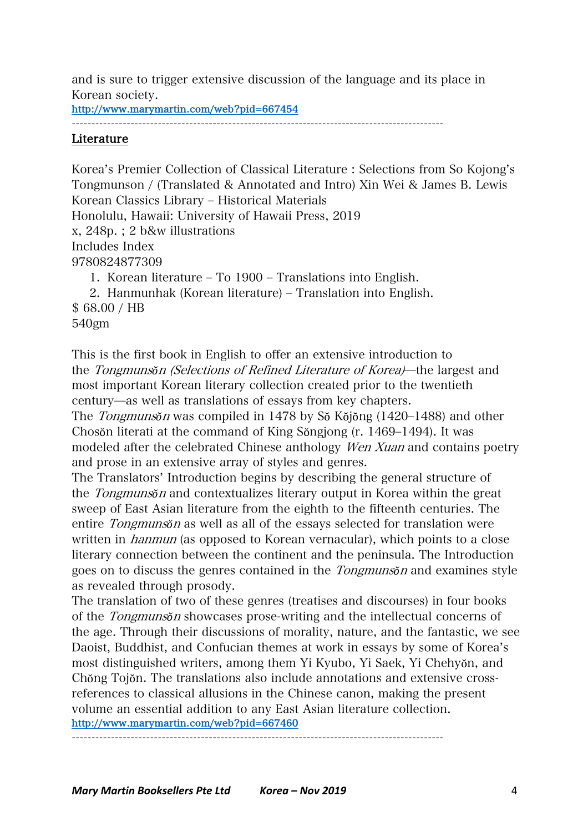and is sure to trigger extensive discussion of the language and its place in Korean society.

http://www.marymartin.com/web?pid=667454

-----------------------------------------------------------------------------------------------

## Literature

Korea's Premier Collection of Classical Literature : Selections from So Kojong's Tongmunson / (Translated & Annotated and Intro) Xin Wei & James B. Lewis Korean Classics Library – Historical Materials Honolulu, Hawaii: University of Hawaii Press, 2019 x, 248p. ; 2 b&w illustrations Includes Index 9780824877309 1. Korean literature – To 1900 – Translations into English. 2. Hanmunhak (Korean literature) – Translation into English. \$ 68.00 / HB

540gm

This is the first book in English to offer an extensive introduction to the Tongmuns*ŏ*<sup>n</sup> (Selections of Refined Literature of Korea)̶the largest and most important Korean literary collection created prior to the twentieth century̶as well as translations of essays from key chapters.

The Tongmuns*ŏ*<sup>n</sup> was compiled in 1478 by Sŏ Kŏjŏng (1420‒1488) and other Chosŏn literati at the command of King Sŏngjong (r. 1469–1494). It was modeled after the celebrated Chinese anthology *Wen Xuan* and contains poetry and prose in an extensive array of styles and genres.

The Translators' Introduction begins by describing the general structure of the Tongmuns*ŏ*<sup>n</sup> and contextualizes literary output in Korea within the great sweep of East Asian literature from the eighth to the fifteenth centuries. The entire Tongmuns*ŏ*<sup>n</sup> as well as all of the essays selected for translation were written in *hanmun* (as opposed to Korean vernacular), which points to a close literary connection between the continent and the peninsula. The Introduction goes on to discuss the genres contained in the Tongmuns*ŏ*<sup>n</sup> and examines style as revealed through prosody.

The translation of two of these genres (treatises and discourses) in four books of the Tongmuns*ŏ*<sup>n</sup> showcases prose-writing and the intellectual concerns of the age. Through their discussions of morality, nature, and the fantastic, we see Daoist, Buddhist, and Confucian themes at work in essays by some of Korea's most distinguished writers, among them Yi Kyubo, Yi Saek, Yi Chehyŏn, and Chŏng Tojŏn. The translations also include annotations and extensive crossreferences to classical allusions in the Chinese canon, making the present volume an essential addition to any East Asian literature collection. http://www.marymartin.com/web?pid=667460

-----------------------------------------------------------------------------------------------